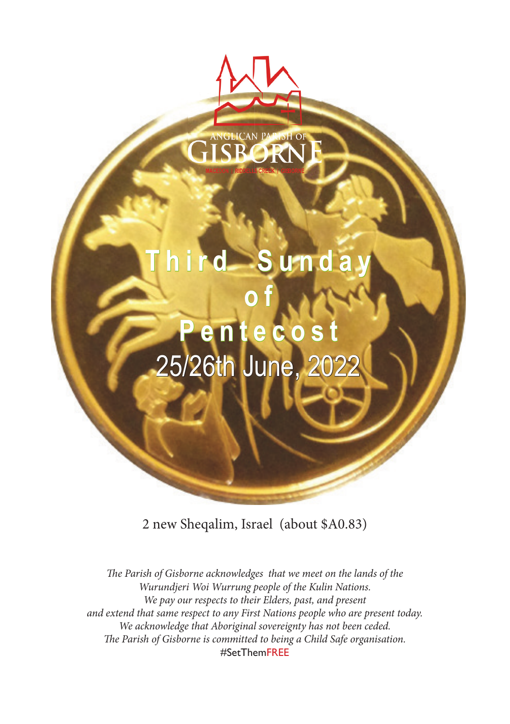# **Third Sunday o f Pentecost** 25/26th June, 2

2 new Sheqalim, Israel (about \$A0.83)

The Parish of Gisborne acknowledges that we meet on the lands of the *Wurundjeri Woi Wurrung people of the Kulin Nations. We pay our respects to their Elders, past, and present and extend that same respect to any First Nations people who are present today. We acknowledge that Aboriginal sovereignty has not been ceded.* The Parish of Gisborne is committed to being a Child Safe organisation. #SetThemFREE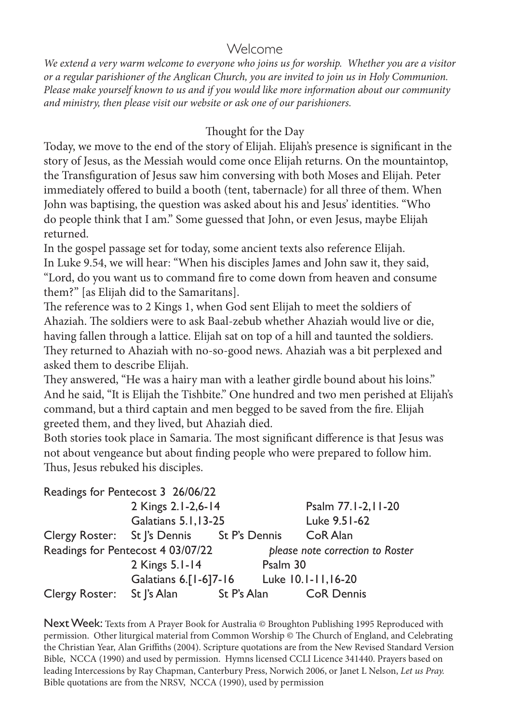#### Welcome

*We extend a very warm welcome to everyone who joins us for worship. Whether you are a visitor or a regular parishioner of the Anglican Church, you are invited to join us in Holy Communion. Please make yourself known to us and if you would like more information about our community and ministry, then please visit our website or ask one of our parishioners.*

#### Thought for the Day

Today, we move to the end of the story of Elijah. Elijah's presence is significant in the story of Jesus, as the Messiah would come once Elijah returns. On the mountaintop, the Transfiguration of Jesus saw him conversing with both Moses and Elijah. Peter immediately offered to build a booth (tent, tabernacle) for all three of them. When John was baptising, the question was asked about his and Jesus' identities. "Who do people think that I am." Some guessed that John, or even Jesus, maybe Elijah returned.

In the gospel passage set for today, some ancient texts also reference Elijah. In Luke 9.54, we will hear: "When his disciples James and John saw it, they said, "Lord, do you want us to command fire to come down from heaven and consume them?" [as Elijah did to the Samaritans].

The reference was to 2 Kings 1, when God sent Elijah to meet the soldiers of Ahaziah. The soldiers were to ask Baal-zebub whether Ahaziah would live or die, having fallen through a lattice. Elijah sat on top of a hill and taunted the soldiers. They returned to Ahaziah with no-so-good news. Ahaziah was a bit perplexed and asked them to describe Elijah.

They answered, "He was a hairy man with a leather girdle bound about his loins." And he said, "It is Elijah the Tishbite." One hundred and two men perished at Elijah's command, but a third captain and men begged to be saved from the fire. Elijah greeted them, and they lived, but Ahaziah died.

Both stories took place in Samaria. The most significant difference is that Jesus was not about vengeance but about finding people who were prepared to follow him. Thus, Jesus rebuked his disciples.

|                            | Readings for Pentecost 3 26/06/22          |             |          |                                  |
|----------------------------|--------------------------------------------|-------------|----------|----------------------------------|
|                            | 2 Kings 2.1-2,6-14<br>Galatians 5.1,13-25  |             |          | Psalm 77.1-2,11-20               |
|                            |                                            |             |          | Luke 9.51-62                     |
|                            | Clergy Roster: St J's Dennis St P's Dennis |             |          | CoR Alan                         |
|                            | Readings for Pentecost 4 03/07/22          |             |          | please note correction to Roster |
|                            | 2 Kings 5.1-14                             |             | Psalm 30 |                                  |
|                            | Galatians 6.[1-6]7-16                      |             |          | Luke 10.1-11,16-20               |
| Clergy Roster: St J's Alan |                                            | St P's Alan |          | <b>CoR Dennis</b>                |

Next Week: Texts from A Prayer Book for Australia © Broughton Publishing 1995 Reproduced with permission. Other liturgical material from Common Worship © The Church of England, and Celebrating the Christian Year, Alan Griffiths (2004). Scripture quotations are from the New Revised Standard Version Bible, NCCA (1990) and used by permission. Hymns licensed CCLI Licence 341440. Prayers based on leading Intercessions by Ray Chapman, Canterbury Press, Norwich 2006, or Janet L Nelson, *Let us Pray.* Bible quotations are from the NRSV, NCCA (1990), used by permission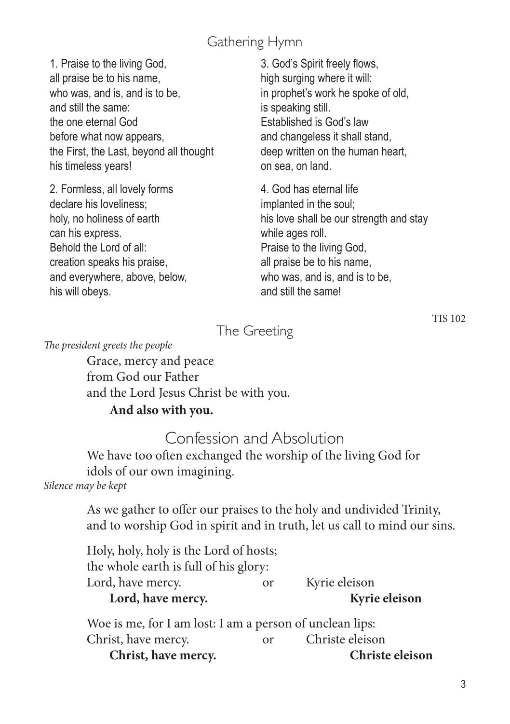### Gathering Hymn

1. Praise to the living God, all praise be to his name, who was, and is, and is to be. and still the same: the one eternal God before what now appears, the First, the Last, beyond all thought his timeless years!

2. Formless, all lovely forms declare his loveliness; holy, no holiness of earth can his express. Behold the Lord of all: creation speaks his praise, and everywhere, above, below, his will obeys.

3. God's Spirit freely flows, high surging where it will: in prophet's work he spoke of old, is speaking still. Established is God's law and changeless it shall stand, deep written on the human heart, on sea, on land.

4. God has eternal life implanted in the soul; his love shall be our strength and stay while ages roll. Praise to the living God, all praise be to his name, who was, and is, and is to be. and still the same!

The Greeting

*The president greets the people*

Grace, mercy and peace from God our Father and the Lord Jesus Christ be with you.

#### **And also with you.**

### Confession and Absolution

We have too often exchanged the worship of the living God for idols of our own imagining.

*Silence may be kept*

As we gather to offer our praises to the holy and undivided Trinity, and to worship God in spirit and in truth, let us call to mind our sins.

| Holy, holy, holy is the Lord of hosts;                |               |               |  |  |  |
|-------------------------------------------------------|---------------|---------------|--|--|--|
| the whole earth is full of his glory:                 |               |               |  |  |  |
| Lord, have mercy.                                     | <sub>or</sub> | Kyrie eleison |  |  |  |
| Lord, have mercy.                                     |               | Kyrie eleison |  |  |  |
| Woe is me for Lam lost: Lam a person of unclean lins: |               |               |  |  |  |

Woe is me, for I am lost: I am a person of unclean lips: Christ, have mercy. or Christe eleison **Christ, have mercy. Christe eleison**

TIS 102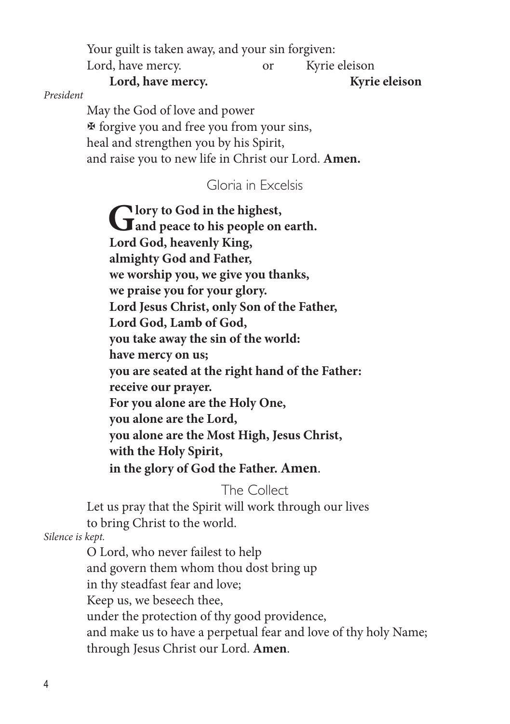Your guilt is taken away, and your sin forgiven:

Lord, have mercy. or Kyrie eleison

#### **Lord, have mercy. Kyrie eleison**

*President* 

May the God of love and power  $\mathfrak F$  forgive you and free you from your sins, heal and strengthen you by his Spirit, and raise you to new life in Christ our Lord. **Amen.** 

#### Gloria in Excelsis

Glory to God in the highest,<br>
and peace to his people on earth. **Lord God, heavenly King, almighty God and Father, we worship you, we give you thanks, we praise you for your glory. Lord Jesus Christ, only Son of the Father, Lord God, Lamb of God, you take away the sin of the world: have mercy on us; you are seated at the right hand of the Father: receive our prayer. For you alone are the Holy One, you alone are the Lord, you alone are the Most High, Jesus Christ, with the Holy Spirit, in the glory of God the Father. Amen**.

The Collect

Let us pray that the Spirit will work through our lives to bring Christ to the world.

*Silence is kept.*

O Lord, who never failest to help and govern them whom thou dost bring up in thy steadfast fear and love; Keep us, we beseech thee, under the protection of thy good providence, and make us to have a perpetual fear and love of thy holy Name; through Jesus Christ our Lord. **Amen**.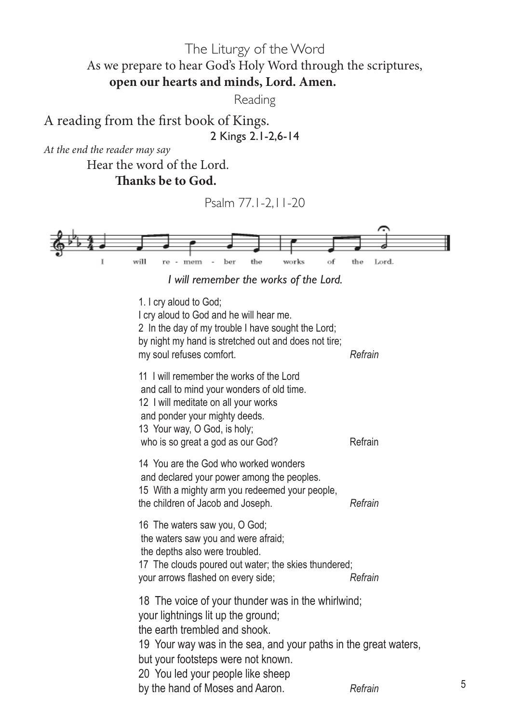The Liturgy of the Word As we prepare to hear God's Holy Word through the scriptures, **open our hearts and minds, Lord. Amen.** 

Reading

A reading from the first book of Kings. 2 Kings 2.1-2,6-14

*At the end the reader may say*

Hear the word of the Lord.  **Thanks be to God.**

Psalm 77.1-2,11-20



*I will remember the works of the Lord.* 

1. I cry aloud to God; I cry aloud to God and he will hear me. 2 In the day of my trouble I have sought the Lord; by night my hand is stretched out and does not tire; my soul refuses comfort. *Refrain* 11 I will remember the works of the Lord and call to mind your wonders of old time. 12 I will meditate on all your works and ponder your mighty deeds. 13 Your way, O God, is holy; who is so great a god as our God? Refrain 14 You are the God who worked wonders and declared your power among the peoples. 15 With a mighty arm you redeemed your people, the children of Jacob and Joseph. *Refrain* 16 The waters saw you, O God; the waters saw you and were afraid; the depths also were troubled. 17 The clouds poured out water; the skies thundered; your arrows flashed on every side; *Refrain* 18 The voice of your thunder was in the whirlwind; your lightnings lit up the ground; the earth trembled and shook. 19 Your way was in the sea, and your paths in the great waters, but your footsteps were not known. 20 You led your people like sheep by the hand of Moses and Aaron. *Refrain*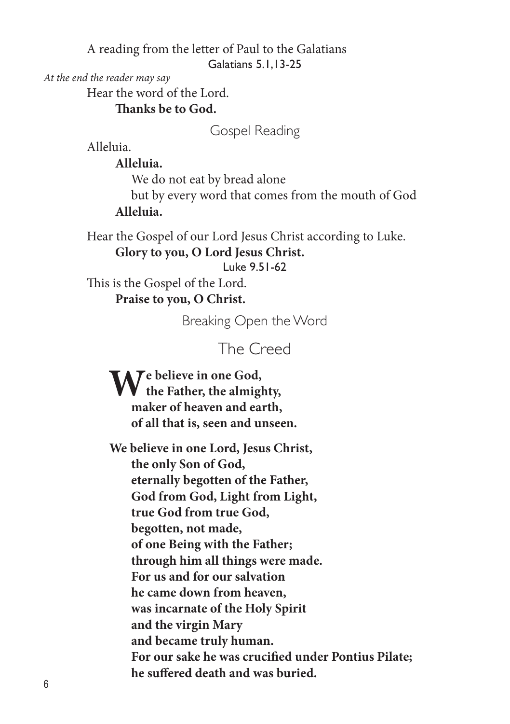A reading from the letter of Paul to the Galatians Galatians 5.1,13-25

*At the end the reader may say*

Hear the word of the Lord.

 **Thanks be to God.**

Gospel Reading

Alleluia.

 **Alleluia.**

We do not eat by bread alone

but by every word that comes from the mouth of God  **Alleluia.**

Hear the Gospel of our Lord Jesus Christ according to Luke.  **Glory to you, O Lord Jesus Christ.** Luke 9.51-62

This is the Gospel of the Lord.  **Praise to you, O Christ.**

Breaking Open the Word

The Creed

**We believe in one God, the Father, the almighty, maker of heaven and earth, of all that is, seen and unseen.**

**We believe in one Lord, Jesus Christ, the only Son of God, eternally begotten of the Father, God from God, Light from Light, true God from true God, begotten, not made, of one Being with the Father; through him all things were made. For us and for our salvation he came down from heaven, was incarnate of the Holy Spirit and the virgin Mary and became truly human. For our sake he was crucified under Pontius Pilate; he suffered death and was buried.**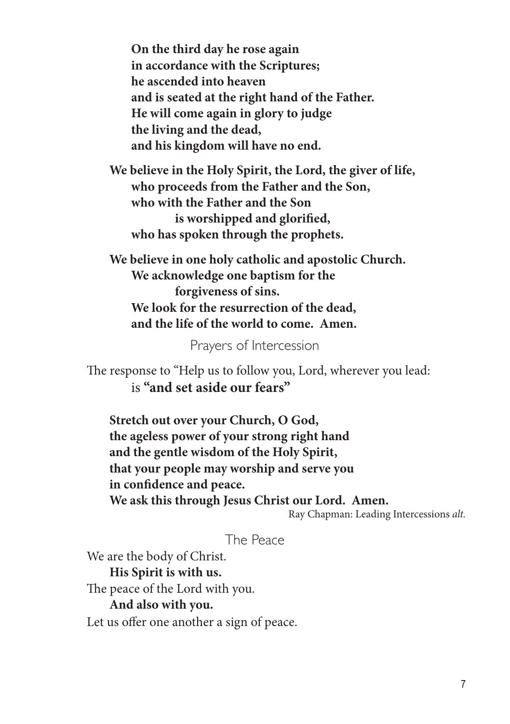**On the third day he rose again in accordance with the Scriptures; he ascended into heaven and is seated at the right hand of the Father. He will come again in glory to judge the living and the dead, and his kingdom will have no end.**

**We believe in the Holy Spirit, the Lord, the giver of life, who proceeds from the Father and the Son, who with the Father and the Son is worshipped and glorified, who has spoken through the prophets.**

**We believe in one holy catholic and apostolic Church. We acknowledge one baptism for the forgiveness of sins. We look for the resurrection of the dead, and the life of the world to come. Amen.**

Prayers of Intercession

The response to "Help us to follow you, Lord, wherever you lead: is **"and set aside our fears"**

**Stretch out over your Church, O God, the ageless power of your strong right hand and the gentle wisdom of the Holy Spirit, that your people may worship and serve you in confidence and peace. We ask this through Jesus Christ our Lord. Amen.**

Ray Chapman: Leading Intercessions *alt.*

#### The Peace

We are the body of Christ.

**His Spirit is with us.** The peace of the Lord with you. **And also with you.**  Let us offer one another a sign of peace.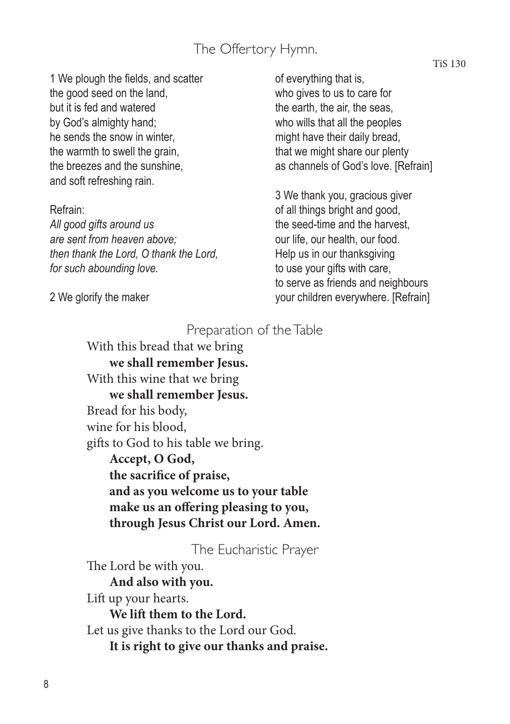### The Offertory Hymn.

1 We plough the fields, and scatter the good seed on the land, but it is fed and watered by God's almighty hand; he sends the snow in winter, the warmth to swell the grain, the breezes and the sunshine, and soft refreshing rain.

Refrain:

*All good gifts around us are sent from heaven above; then thank the Lord, O thank the Lord, for such abounding love.*

2 We glorify the maker

of everything that is, who gives to us to care for the earth, the air, the seas, who wills that all the peoples might have their daily bread, that we might share our plenty as channels of God's love. [Refrain]

3 We thank you, gracious giver of all things bright and good, the seed-time and the harvest, our life, our health, our food. Help us in our thanksgiving to use your gifts with care, to serve as friends and neighbours your children everywhere. [Refrain]

#### Preparation of the Table

With this bread that we bring **we shall remember Jesus.** With this wine that we bring **we shall remember Jesus.** Bread for his body, wine for his blood, gifts to God to his table we bring. **Accept, O God, the sacrifice of praise, and as you welcome us to your table make us an offering pleasing to you, through Jesus Christ our Lord. Amen.** 

The Eucharistic Prayer

The Lord be with you. **And also with you.** Lift up your hearts. **We lift them to the Lord.** Let us give thanks to the Lord our God. **It is right to give our thanks and praise.**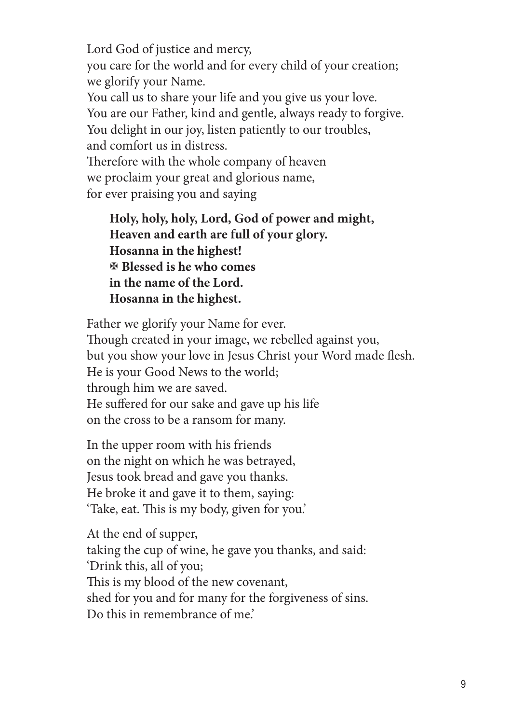Lord God of justice and mercy, you care for the world and for every child of your creation; we glorify your Name. You call us to share your life and you give us your love. You are our Father, kind and gentle, always ready to forgive. You delight in our joy, listen patiently to our troubles, and comfort us in distress. Therefore with the whole company of heaven we proclaim your great and glorious name, for ever praising you and saying

**Holy, holy, holy, Lord, God of power and might, Heaven and earth are full of your glory. Hosanna in the highest!** X **Blessed is he who comes in the name of the Lord. Hosanna in the highest.**

Father we glorify your Name for ever. Though created in your image, we rebelled against you, but you show your love in Jesus Christ your Word made flesh. He is your Good News to the world; through him we are saved. He suffered for our sake and gave up his life on the cross to be a ransom for many.

In the upper room with his friends on the night on which he was betrayed, Jesus took bread and gave you thanks. He broke it and gave it to them, saying: 'Take, eat. This is my body, given for you.'

At the end of supper, taking the cup of wine, he gave you thanks, and said: 'Drink this, all of you; This is my blood of the new covenant, shed for you and for many for the forgiveness of sins. Do this in remembrance of me'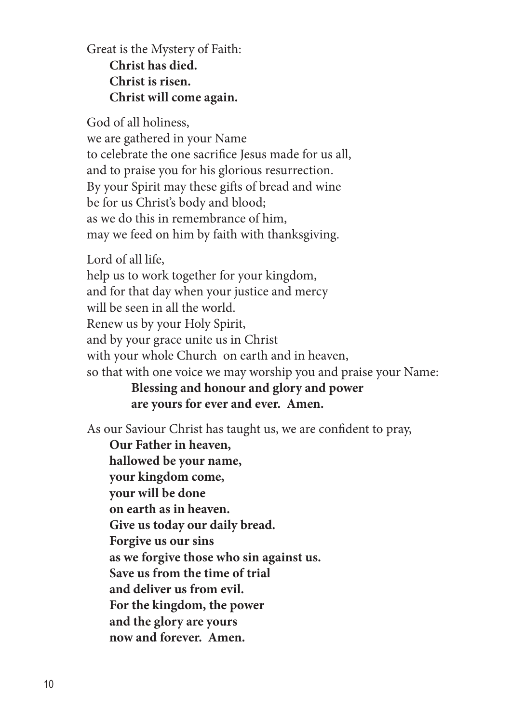Great is the Mystery of Faith: **Christ has died. Christ is risen. Christ will come again.**

God of all holiness, we are gathered in your Name to celebrate the one sacrifice Jesus made for us all, and to praise you for his glorious resurrection. By your Spirit may these gifts of bread and wine be for us Christ's body and blood; as we do this in remembrance of him, may we feed on him by faith with thanksgiving.

Lord of all life, help us to work together for your kingdom, and for that day when your justice and mercy will be seen in all the world. Renew us by your Holy Spirit, and by your grace unite us in Christ with your whole Church on earth and in heaven, so that with one voice we may worship you and praise your Name:

**Blessing and honour and glory and power are yours for ever and ever. Amen.**

As our Saviour Christ has taught us, we are confident to pray,

**Our Father in heaven, hallowed be your name, your kingdom come, your will be done on earth as in heaven. Give us today our daily bread. Forgive us our sins as we forgive those who sin against us. Save us from the time of trial and deliver us from evil. For the kingdom, the power and the glory are yours now and forever. Amen.**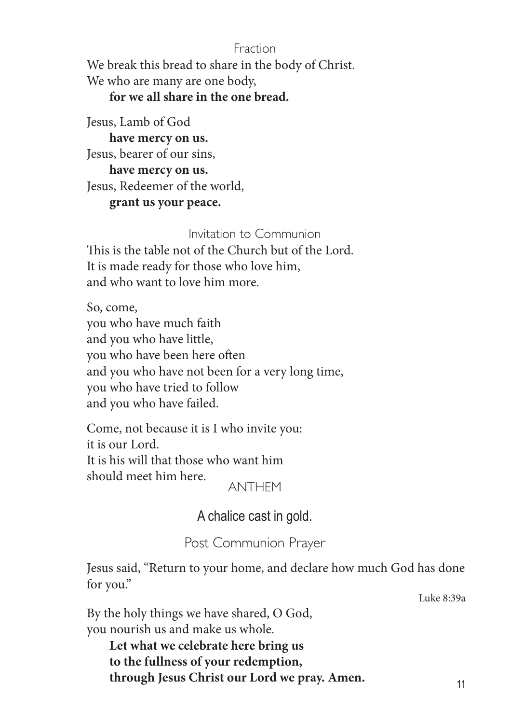#### Fraction

We break this bread to share in the body of Christ. We who are many are one body,

#### **for we all share in the one bread.**

Jesus, Lamb of God **have mercy on us.** Jesus, bearer of our sins, **have mercy on us.**

Jesus, Redeemer of the world,

**grant us your peace.** 

#### Invitation to Communion

This is the table not of the Church but of the Lord. It is made ready for those who love him, and who want to love him more.

So, come, you who have much faith and you who have little, you who have been here often and you who have not been for a very long time, you who have tried to follow and you who have failed.

Come, not because it is I who invite you: it is our Lord. It is his will that those who want him should meet him here.

ANTHEM

A chalice cast in gold.

Post Communion Prayer

Jesus said, "Return to your home, and declare how much God has done for you."

Luke 8:39a

By the holy things we have shared, O God, you nourish us and make us whole.

**Let what we celebrate here bring us to the fullness of your redemption, through Jesus Christ our Lord we pray. Amen.**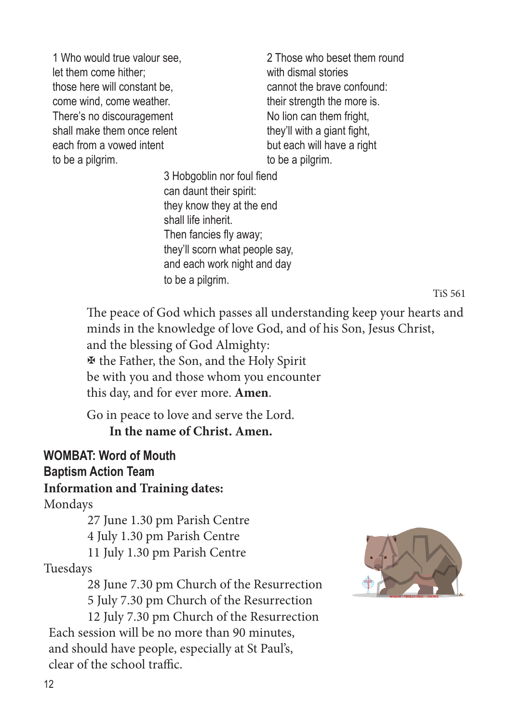1 Who would true valour see, let them come hither; those here will constant be, come wind, come weather. There's no discouragement shall make them once relent each from a vowed intent to be a pilgrim.

2 Those who beset them round with dismal stories cannot the brave confound: their strength the more is. No lion can them fright, they'll with a giant fight, but each will have a right to be a pilgrim.

3 Hobgoblin nor foul fiend can daunt their spirit: they know they at the end shall life inherit. Then fancies fly away; they'll scorn what people say, and each work night and day to be a pilgrim.

TiS 561

The peace of God which passes all understanding keep your hearts and minds in the knowledge of love God, and of his Son, Jesus Christ, and the blessing of God Almighty: X the Father, the Son, and the Holy Spirit be with you and those whom you encounter this day, and for ever more. **Amen**.

Go in peace to love and serve the Lord. **In the name of Christ. Amen.** 

# **WOMBAT: Word of Mouth Baptism Action Team**

#### **Information and Training dates:**

Mondays

27 June 1.30 pm Parish Centre 4 July 1.30 pm Parish Centre 11 July 1.30 pm Parish Centre

Tuesdays

28 June 7.30 pm Church of the Resurrection 5 July 7.30 pm Church of the Resurrection

12 July 7.30 pm Church of the Resurrection Each session will be no more than 90 minutes, and should have people, especially at St Paul's, clear of the school traffic.

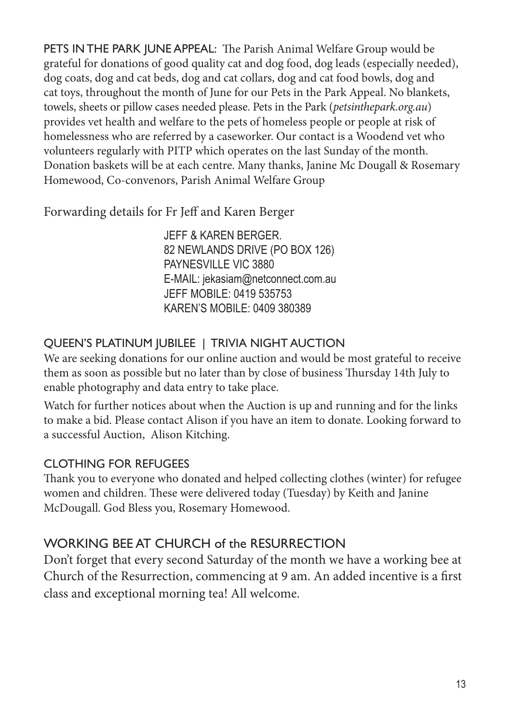PETS IN THE PARK JUNE APPEAL: The Parish Animal Welfare Group would be grateful for donations of good quality cat and dog food, dog leads (especially needed), dog coats, dog and cat beds, dog and cat collars, dog and cat food bowls, dog and cat toys, throughout the month of June for our Pets in the Park Appeal. No blankets, towels, sheets or pillow cases needed please. Pets in the Park (*petsinthepark.org.au*) provides vet health and welfare to the pets of homeless people or people at risk of homelessness who are referred by a caseworker. Our contact is a Woodend vet who volunteers regularly with PITP which operates on the last Sunday of the month. Donation baskets will be at each centre. Many thanks, Janine Mc Dougall & Rosemary Homewood, Co-convenors, Parish Animal Welfare Group

Forwarding details for Fr Jeff and Karen Berger

JEFF & KAREN BERGER. 82 NEWLANDS DRIVE (PO BOX 126) PAYNESVILLE VIC 3880 E-MAIL: jekasiam@netconnect.com.au JEFF MOBILE: 0419 535753 KAREN'S MOBILE: 0409 380389

# QUEEN'S PLATINUM JUBILEE | TRIVIA NIGHT AUCTION

We are seeking donations for our online auction and would be most grateful to receive them as soon as possible but no later than by close of business Thursday 14th July to enable photography and data entry to take place.

Watch for further notices about when the Auction is up and running and for the links to make a bid. Please contact Alison if you have an item to donate. Looking forward to a successful Auction, Alison Kitching.

### CLOTHING FOR REFUGEES

Thank you to everyone who donated and helped collecting clothes (winter) for refugee women and children. These were delivered today (Tuesday) by Keith and Janine McDougall. God Bless you, Rosemary Homewood.

# WORKING BEE AT CHURCH of the RESURRECTION

Don't forget that every second Saturday of the month we have a working bee at Church of the Resurrection, commencing at 9 am. An added incentive is a first class and exceptional morning tea! All welcome.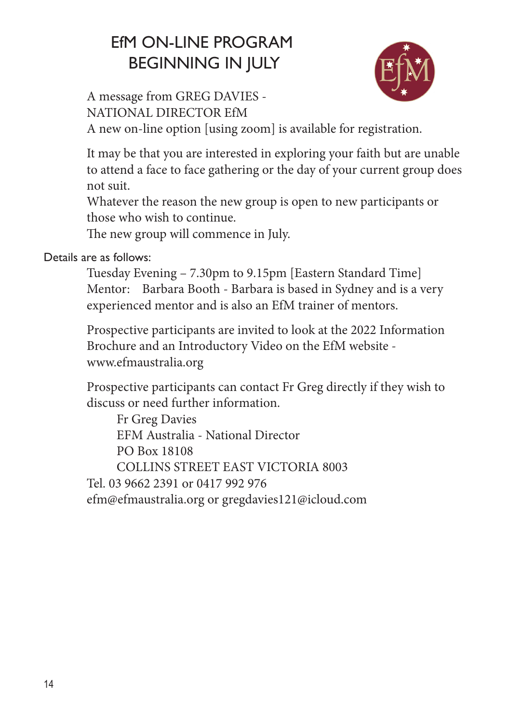# EfM ON-LINE PROGRAM BEGINNING IN JULY



A message from GREG DAVIES - NATIONAL DIRECTOR EfM

A new on-line option [using zoom] is available for registration.

It may be that you are interested in exploring your faith but are unable to attend a face to face gathering or the day of your current group does not suit.

Whatever the reason the new group is open to new participants or those who wish to continue.

The new group will commence in July.

Details are as follows:

Tuesday Evening – 7.30pm to 9.15pm [Eastern Standard Time] Mentor: Barbara Booth - Barbara is based in Sydney and is a very experienced mentor and is also an EfM trainer of mentors.

Prospective participants are invited to look at the 2022 Information Brochure and an Introductory Video on the EfM website www.efmaustralia.org

Prospective participants can contact Fr Greg directly if they wish to discuss or need further information.

Fr Greg Davies EFM Australia - National Director PO Box 18108 COLLINS STREET EAST VICTORIA 8003 Tel. 03 9662 2391 or 0417 992 976 efm@efmaustralia.org or gregdavies121@icloud.com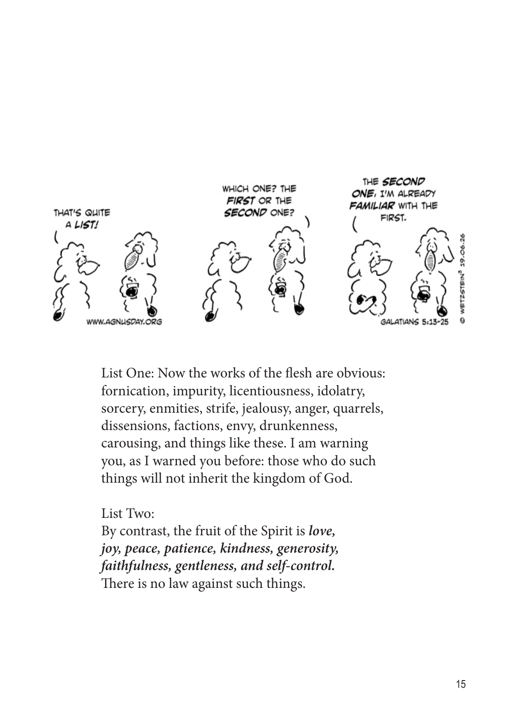

List One: Now the works of the flesh are obvious: fornication, impurity, licentiousness, idolatry, sorcery, enmities, strife, jealousy, anger, quarrels, dissensions, factions, envy, drunkenness, carousing, and things like these. I am warning you, as I warned you before: those who do such things will not inherit the kingdom of God.

List Two:

By contrast, the fruit of the Spirit is *love, joy, peace, patience, kindness, generosity, faithfulness, gentleness, and self-control.* There is no law against such things.